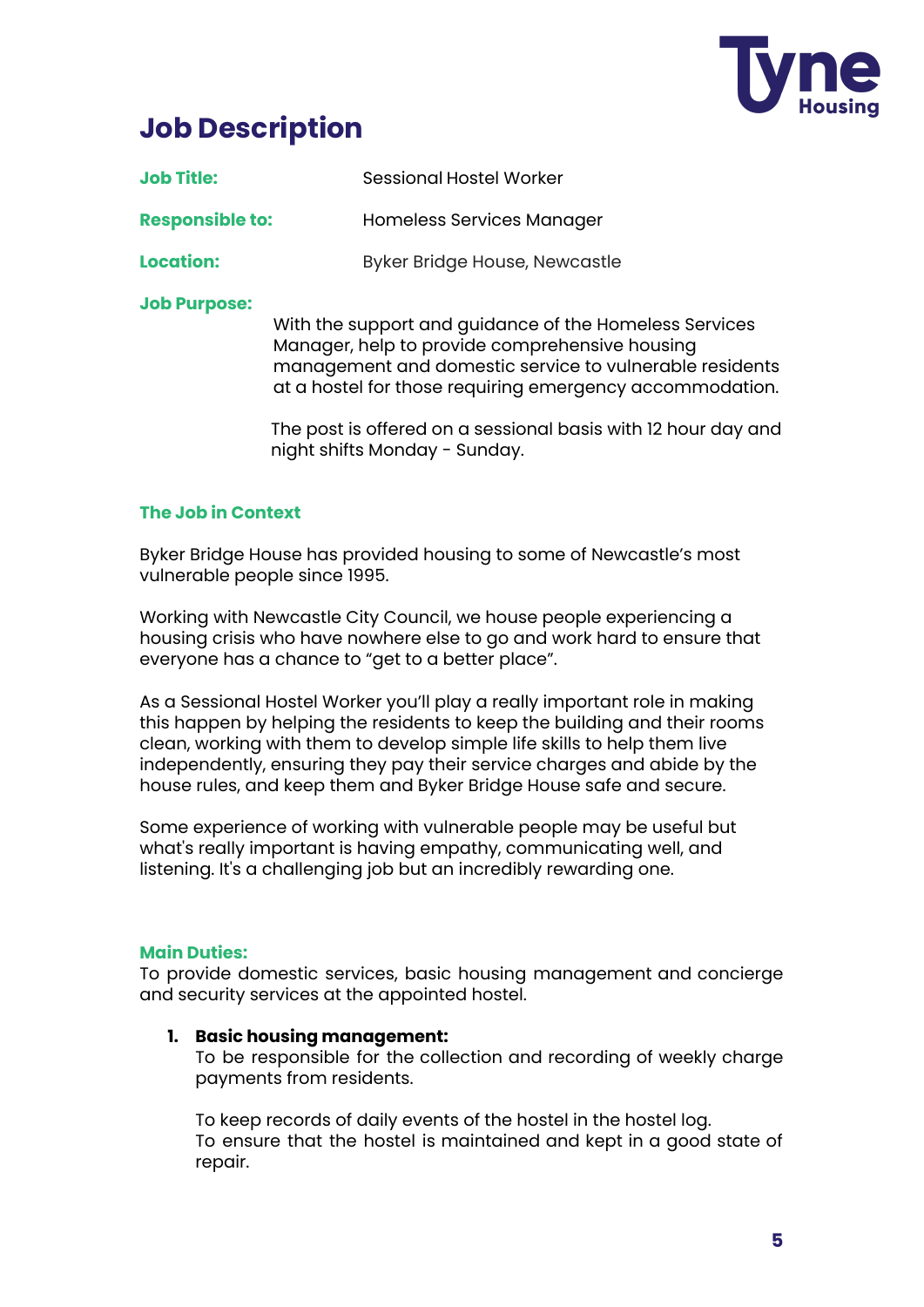

# **Job Description**

| <b>Job Title:</b>      | <b>Sessional Hostel Worker</b>                                                                           |
|------------------------|----------------------------------------------------------------------------------------------------------|
| <b>Responsible to:</b> | Homeless Services Manager                                                                                |
| <b>Location:</b>       | <b>Byker Bridge House, Newcastle</b>                                                                     |
| <b>Job Purpose:</b>    | With the support and guidance of the Homeless Services<br>Manager, help to provide comprehensive housing |

management and domestic service to vulnerable residents at a hostel for those requiring emergency accommodation.

The post is offered on a sessional basis with 12 hour day and night shifts Monday - Sunday.

## **The Job in Context**

Byker Bridge House has provided housing to some of Newcastle's most vulnerable people since 1995.

Working with Newcastle City Council, we house people experiencing a housing crisis who have nowhere else to go and work hard to ensure that everyone has a chance to "get to a better place".

As a Sessional Hostel Worker you'll play a really important role in making this happen by helping the residents to keep the building and their rooms clean, working with them to develop simple life skills to help them live independently, ensuring they pay their service charges and abide by the house rules, and keep them and Byker Bridge House safe and secure.

Some experience of working with vulnerable people may be useful but what's really important is having empathy, communicating well, and listening. It's a challenging job but an incredibly rewarding one.

## **Main Duties:**

To provide domestic services, basic housing management and concierge and security services at the appointed hostel.

## **1. Basic housing management:**

To be responsible for the collection and recording of weekly charge payments from residents.

To keep records of daily events of the hostel in the hostel log. To ensure that the hostel is maintained and kept in a good state of repair.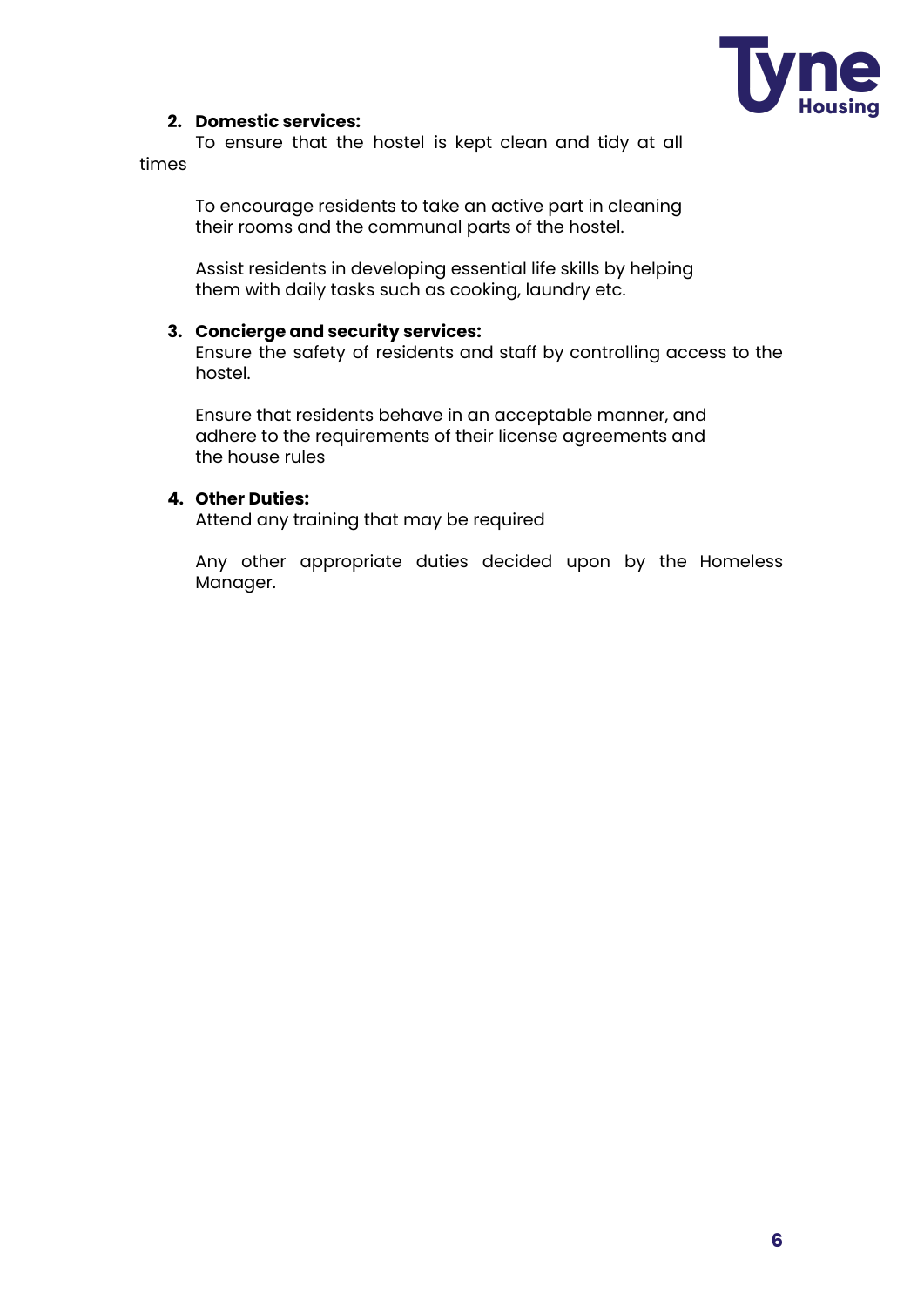

## **2. Domestic services:**

To ensure that the hostel is kept clean and tidy at all times

> To encourage residents to take an active part in cleaning their rooms and the communal parts of the hostel.

Assist residents in developing essential life skills by helping them with daily tasks such as cooking, laundry etc.

#### **3. Concierge and security services:**

Ensure the safety of residents and staff by controlling access to the hostel.

Ensure that residents behave in an acceptable manner, and adhere to the requirements of their license agreements and the house rules

### **4. Other Duties:**

Attend any training that may be required

Any other appropriate duties decided upon by the Homeless Manager.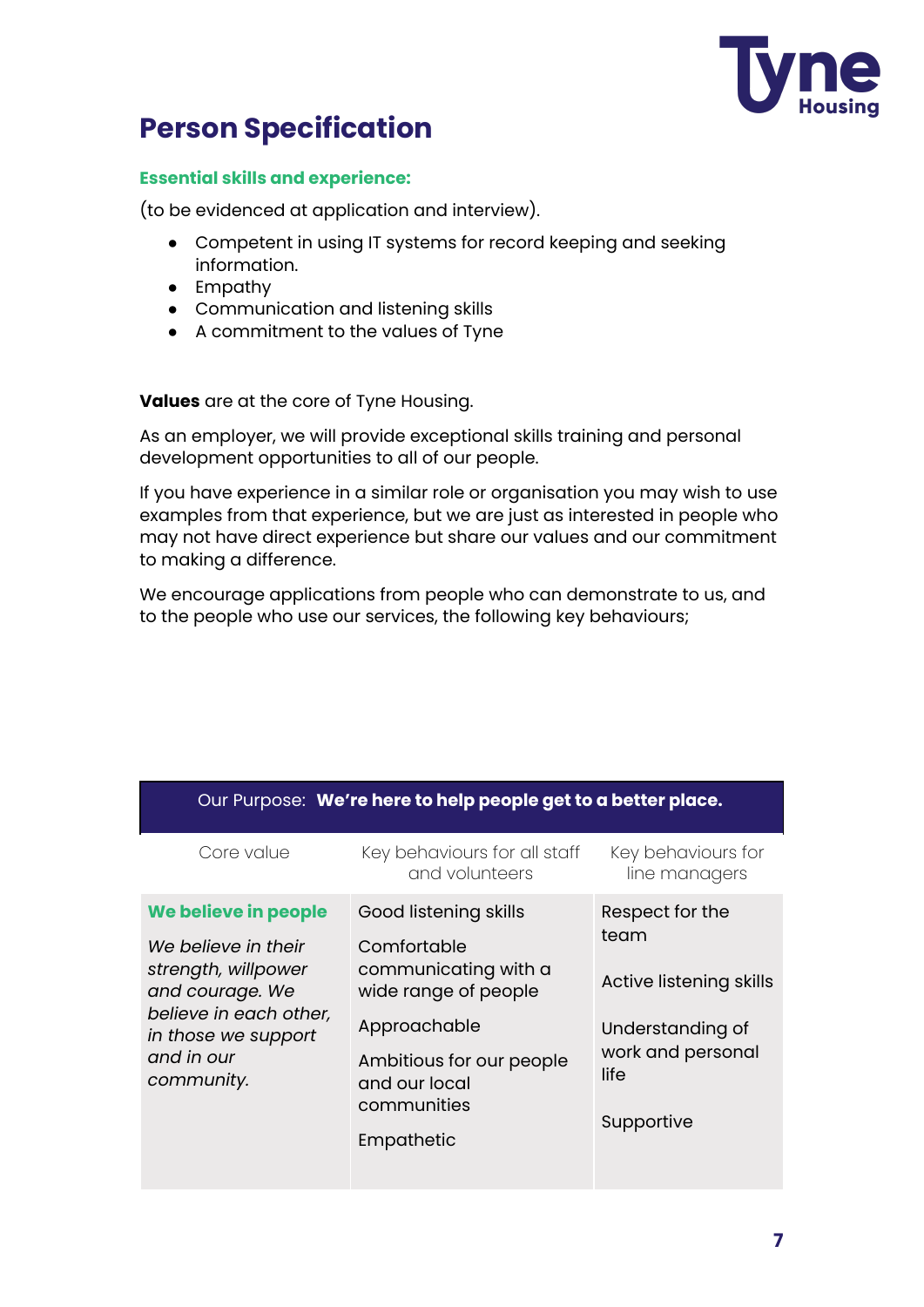

## **Person Specification**

## **Essential skills and experience:**

(to be evidenced at application and interview).

- Competent in using IT systems for record keeping and seeking information.
- Empathy
- Communication and listening skills
- A commitment to the values of Tyne

**Values** are at the core of Tyne Housing.

As an employer, we will provide exceptional skills training and personal development opportunities to all of our people.

If you have experience in a similar role or organisation you may wish to use examples from that experience, but we are just as interested in people who may not have direct experience but share our values and our commitment to making a difference.

We encourage applications from people who can demonstrate to us, and to the people who use our services, the following key behaviours;

| Our Purpose: We're here to help people get to a better place.                                                                                                      |                                                                                                                                                                                |                                                                                                                   |  |  |
|--------------------------------------------------------------------------------------------------------------------------------------------------------------------|--------------------------------------------------------------------------------------------------------------------------------------------------------------------------------|-------------------------------------------------------------------------------------------------------------------|--|--|
| Core value                                                                                                                                                         | Key behaviours for all staff<br>and volunteers                                                                                                                                 | Key behaviours for<br>line managers                                                                               |  |  |
| We believe in people<br>We believe in their<br>strength, willpower<br>and courage. We<br>believe in each other,<br>in those we support<br>and in our<br>community. | Good listening skills<br>Comfortable<br>communicating with a<br>wide range of people<br>Approachable<br>Ambitious for our people<br>and our local<br>communities<br>Empathetic | Respect for the<br>team<br>Active listening skills<br>Understanding of<br>work and personal<br>life<br>Supportive |  |  |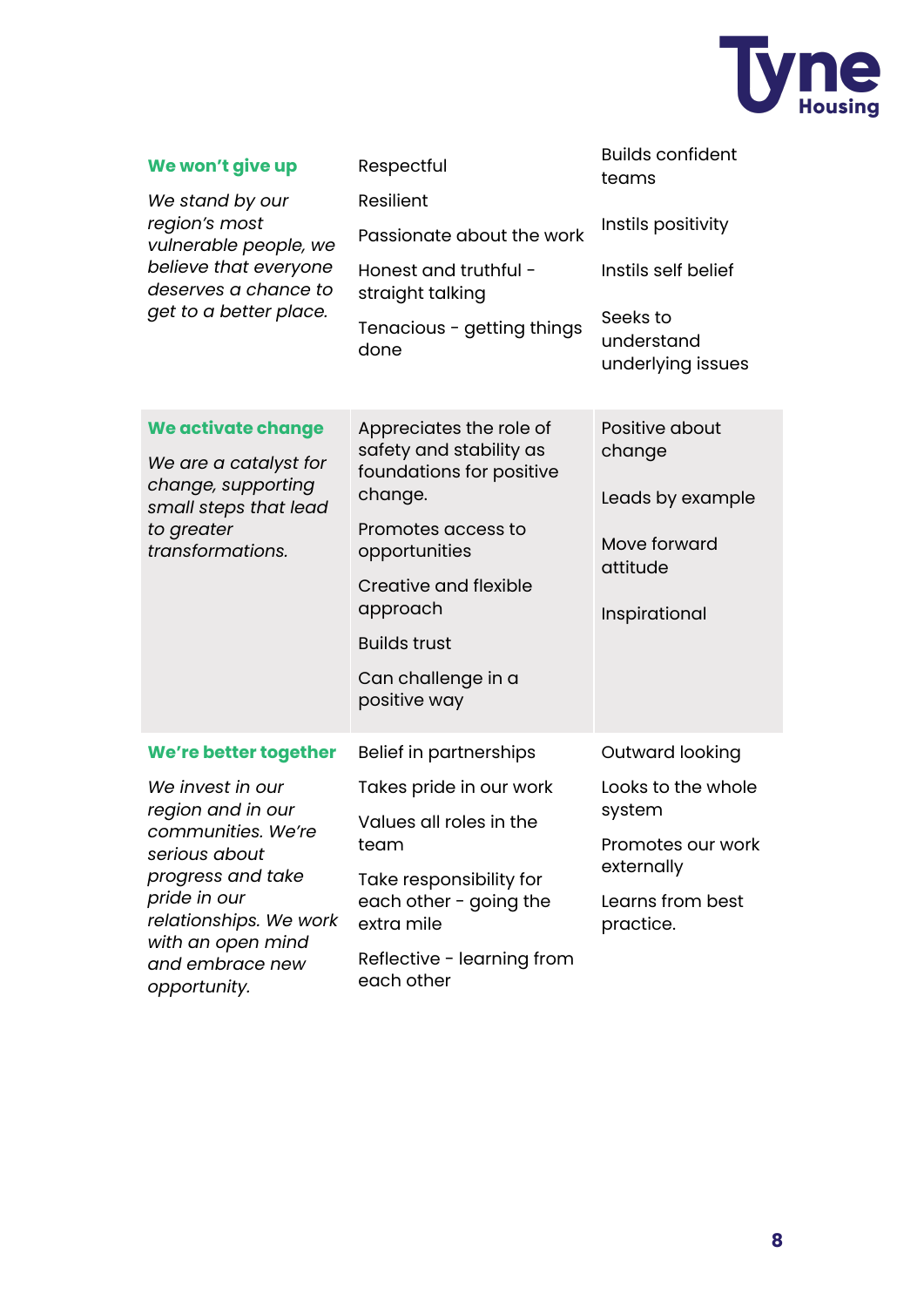

| We won't give up<br>We stand by our<br>region's most<br>vulnerable people, we<br>believe that everyone<br>deserves a chance to<br>get to a better place.                                                                     | Respectful<br>Resilient<br>Passionate about the work<br>Honest and truthful -<br>straight talking<br>Tenacious - getting things<br>done                                                                                                   | <b>Builds confident</b><br>teams<br>Instils positivity<br>Instils self belief<br>Seeks to<br>understand<br>underlying issues |
|------------------------------------------------------------------------------------------------------------------------------------------------------------------------------------------------------------------------------|-------------------------------------------------------------------------------------------------------------------------------------------------------------------------------------------------------------------------------------------|------------------------------------------------------------------------------------------------------------------------------|
| We activate change<br>We are a catalyst for<br>change, supporting<br>small steps that lead<br>to greater<br>transformations.                                                                                                 | Appreciates the role of<br>safety and stability as<br>foundations for positive<br>change.<br>Promotes access to<br>opportunities<br><b>Creative and flexible</b><br>approach<br><b>Builds trust</b><br>Can challenge in a<br>positive way | Positive about<br>change<br>Leads by example<br>Move forward<br>attitude<br>Inspirational                                    |
| We're better together<br>We invest in our<br>region and in our<br>communities. We're<br>serious about<br>progress and take<br>pride in our<br>relationships. We work<br>with an open mind<br>and embrace new<br>opportunity. | Belief in partnerships<br>Takes pride in our work<br>Values all roles in the<br>team<br>Take responsibility for<br>each other - going the<br>extra mile<br>Reflective - learning from<br>each other                                       | Outward looking<br>Looks to the whole<br>system<br>Promotes our work<br>externally<br>Learns from best<br>practice.          |